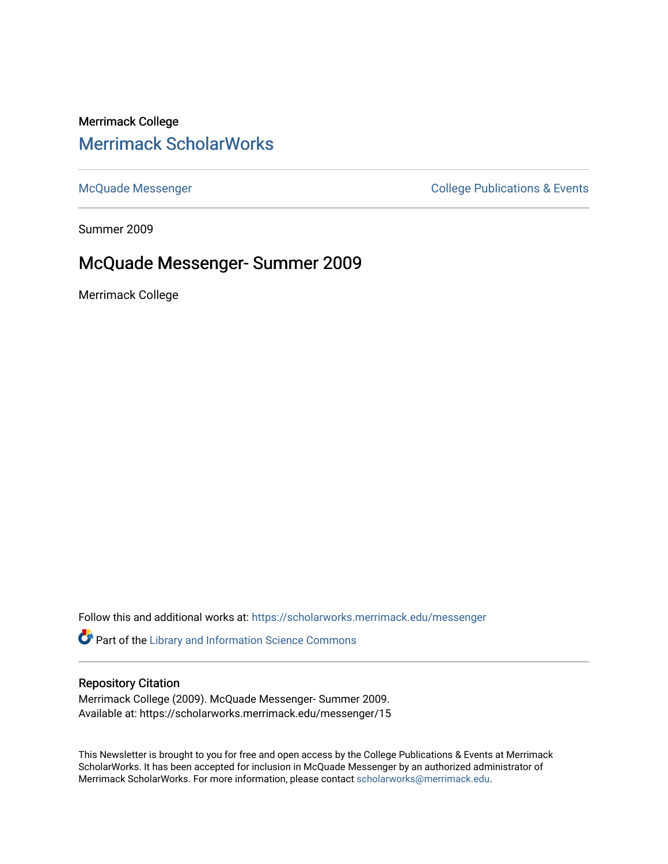# Merrimack College [Merrimack ScholarWorks](https://scholarworks.merrimack.edu/)

[McQuade Messenger](https://scholarworks.merrimack.edu/messenger) College Publications & Events

Summer 2009

## McQuade Messenger- Summer 2009

Merrimack College

Follow this and additional works at: [https://scholarworks.merrimack.edu/messenger](https://scholarworks.merrimack.edu/messenger?utm_source=scholarworks.merrimack.edu%2Fmessenger%2F15&utm_medium=PDF&utm_campaign=PDFCoverPages) 

Part of the [Library and Information Science Commons](http://network.bepress.com/hgg/discipline/1018?utm_source=scholarworks.merrimack.edu%2Fmessenger%2F15&utm_medium=PDF&utm_campaign=PDFCoverPages) 

### Repository Citation

Merrimack College (2009). McQuade Messenger- Summer 2009. Available at: https://scholarworks.merrimack.edu/messenger/15

This Newsletter is brought to you for free and open access by the College Publications & Events at Merrimack ScholarWorks. It has been accepted for inclusion in McQuade Messenger by an authorized administrator of Merrimack ScholarWorks. For more information, please contact [scholarworks@merrimack.edu](mailto:scholarworks@merrimack.edu).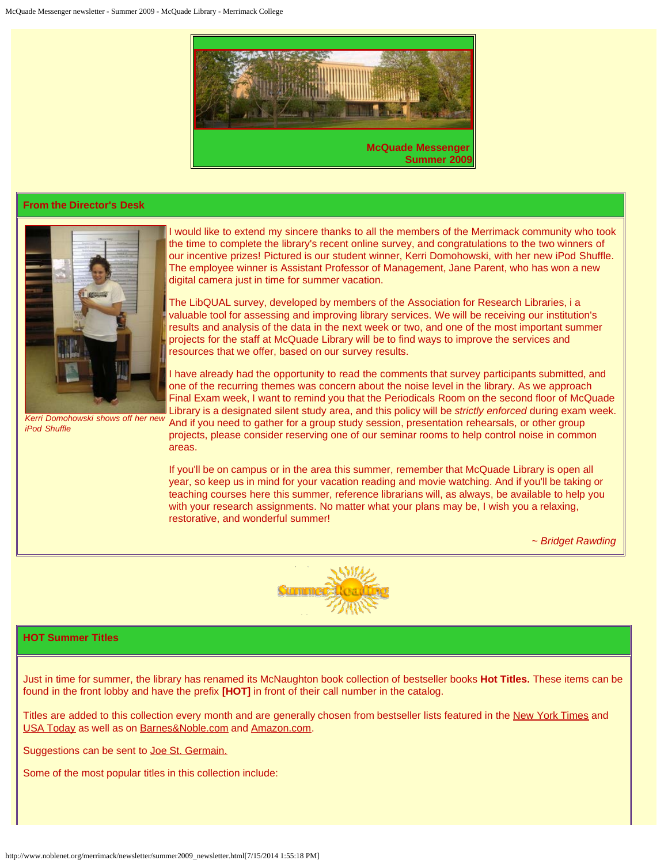

### **From the Director's Desk**



I would like to extend my sincere thanks to all the members of the Merrimack community who took the time to complete the library's recent online survey, and congratulations to the two winners of our incentive prizes! Pictured is our student winner, Kerri Domohowski, with her new iPod Shuffle. The employee winner is Assistant Professor of Management, Jane Parent, who has won a new digital camera just in time for summer vacation.

The LibQUAL survey, developed by members of the Association for Research Libraries, i a valuable tool for assessing and improving library services. We will be receiving our institution's results and analysis of the data in the next week or two, and one of the most important summer projects for the staff at McQuade Library will be to find ways to improve the services and resources that we offer, based on our survey results.

I have already had the opportunity to read the comments that survey participants submitted, and one of the recurring themes was concern about the noise level in the library. As we approach Final Exam week, I want to remind you that the Periodicals Room on the second floor of McQuade Library is a designated silent study area, and this policy will be *strictly enforced* during exam week. And if you need to gather for a group study session, presentation rehearsals, or other group projects, please consider reserving one of our seminar rooms to help control noise in common areas.

If you'll be on campus or in the area this summer, remember that McQuade Library is open all year, so keep us in mind for your vacation reading and movie watching. And if you'll be taking or teaching courses here this summer, reference librarians will, as always, be available to help you with your research assignments. No matter what your plans may be, I wish you a relaxing, restorative, and wonderful summer!

*~ Bridget Rawding*



### **HOT Summer Titles**

*iPod Shuffle*

Just in time for summer, the library has renamed its McNaughton book collection of bestseller books **Hot Titles.** These items can be found in the front lobby and have the prefix **[HOT]** in front of their call number in the catalog.

Titles are added to this collection every month and are generally chosen from bestseller lists featured in the [New York Times](http://www.nytimes.com/pages/books/bestseller/) and [USA Today](http://content.usatoday.com/life/books/booksdatabase/default.aspx) as well as on [Barnes&Noble.com](http://www.barnesandnoble.com/bestsellers/top100.asp?PID=3950&) and [Amazon.com](http://www.amazon.com/gp/bestsellers/books).

Suggestions can be sent to [Joe St. Germain.](mailto:stgermainj@merrimack.edu)

Some of the most popular titles in this collection include: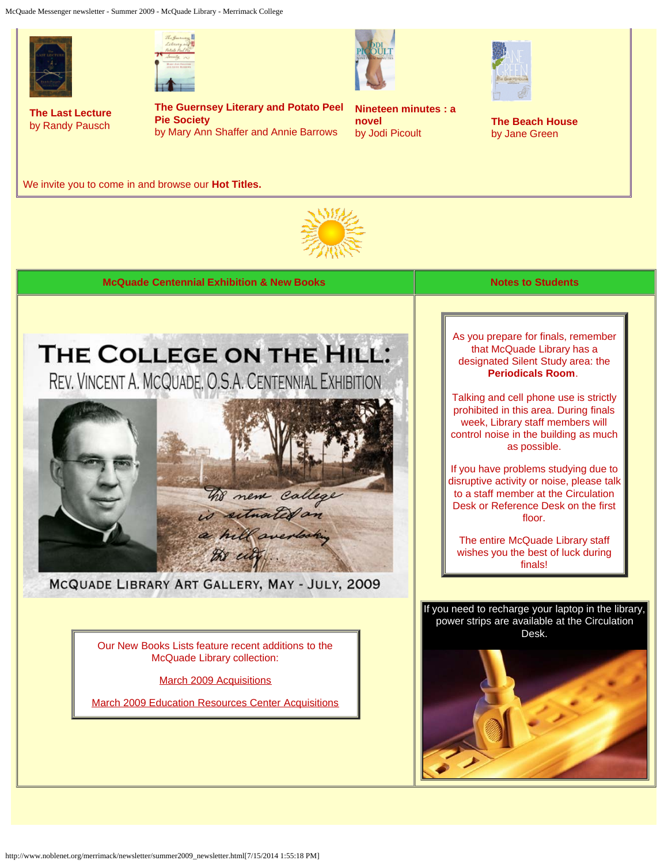McQuade Messenger newsletter - Summer 2009 - McQuade Library - Merrimack College





**The Last Lecture**  by Randy Pausch

**The Guernsey Literary and Potato Peel Pie Society** 

by Mary Ann Shaffer and Annie Barrows



**Nineteen minutes : a novel**  by Jodi Picoult



**The Beach House** by Jane Green

We invite you to come in and browse our **Hot Titles.**



**McQuade Centennial Exhibition & New Books Notes to Students Notes to Students** 



MCQUADE LIBRARY ART GALLERY, MAY - JULY, 2009

Our New Books Lists feature recent additions to the McQuade Library collection:

[March 2009 Acquisitions](http://www.noblenet.org/merrimack/booklists/2009_03.html)

[March 2009 Education Resources Center Acquisitions](http://www.noblenet.org/merrimack/erc/booklists/2009_03erc.html)

As you prepare for finals, remember that McQuade Library has a designated Silent Study area: the **Periodicals Room**.

Talking and cell phone use is strictly prohibited in this area. During finals week, Library staff members will control noise in the building as much as possible.

If you have problems studying due to disruptive activity or noise, please talk to a staff member at the Circulation Desk or Reference Desk on the first floor.

The entire McQuade Library staff wishes you the best of luck during finals!



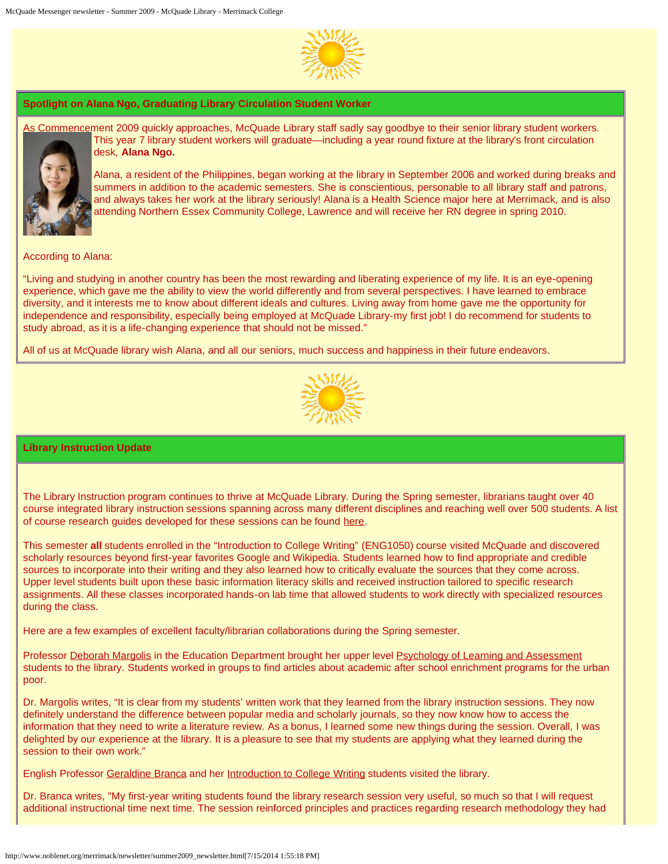

#### **Spotlight on Alana Ngo, Graduating Library Circulation Student Worker**

As Commencement 2009 quickly approaches, McQuade Library staff sadly say goodbye to their senior library student workers. This year 7 library student workers will graduate—including a year round fixture at the library's front circulation desk, **Alana Ngo.**



Alana, a resident of the Philippines, began working at the library in September 2006 and worked during breaks and summers in addition to the academic semesters. She is conscientious, personable to all library staff and patrons, and always takes her work at the library seriously! Alana is a Health Science major here at Merrimack, and is also attending Northern Essex Community College, Lawrence and will receive her RN degree in spring 2010.

According to Alana:

"Living and studying in another country has been the most rewarding and liberating experience of my life. It is an eye-opening experience, which gave me the ability to view the world differently and from several perspectives. I have learned to embrace diversity, and it interests me to know about different ideals and cultures. Living away from home gave me the opportunity for independence and responsibility, especially being employed at McQuade Library-my first job! I do recommend for students to study abroad, as it is a life-changing experience that should not be missed."

All of us at McQuade library wish Alana, and all our seniors, much success and happiness in their future endeavors.



#### **Library Instruction Update**

The Library Instruction program continues to thrive at McQuade Library. During the Spring semester, librarians taught over 40 course integrated library instruction sessions spanning across many different disciplines and reaching well over 500 students. A list of course research guides developed for these sessions can be found [here](http://www.noblenet.org/merrimack/crg.htm).

This semester **all** students enrolled in the "Introduction to College Writing" (ENG1050) course visited McQuade and discovered scholarly resources beyond first-year favorites Google and Wikipedia. Students learned how to find appropriate and credible sources to incorporate into their writing and they also learned how to critically evaluate the sources that they come across. Upper level students built upon these basic information literacy skills and received instruction tailored to specific research assignments. All these classes incorporated hands-on lab time that allowed students to work directly with specialized resources during the class.

Here are a few examples of excellent faculty/librarian collaborations during the Spring semester.

Professor [Deborah Margolis](http://warrior.merrimack.edu/academics/liberal_arts/Education/MeetFacultyStaff/Pages/fac_DeborahMargolis.aspx) in the Education Department brought her upper level [Psychology of Learning and Assessment](http://www.noblenet.org/merrimack/guides/EDU3210.htm) students to the library. Students worked in groups to find articles about academic after school enrichment programs for the urban poor.

Dr. Margolis writes, "It is clear from my students' written work that they learned from the library instruction sessions. They now definitely understand the difference between popular media and scholarly journals, so they now know how to access the information that they need to write a literature review. As a bonus, I learned some new things during the session. Overall, I was delighted by our experience at the library. It is a pleasure to see that my students are applying what they learned during the session to their own work."

English Professor [Geraldine Branca](http://www.merrimack.edu/academics/liberal_arts/English/MeetFacultyStaff/Pages/GeraldineBranca.aspx) and her [Introduction to College Writing](http://www.noblenet.org/merrimack/guides/ENG1050branca.htm) students visited the library.

Dr. Branca writes, "My first-year writing students found the library research session very useful, so much so that I will request additional instructional time next time. The session reinforced principles and practices regarding research methodology they had